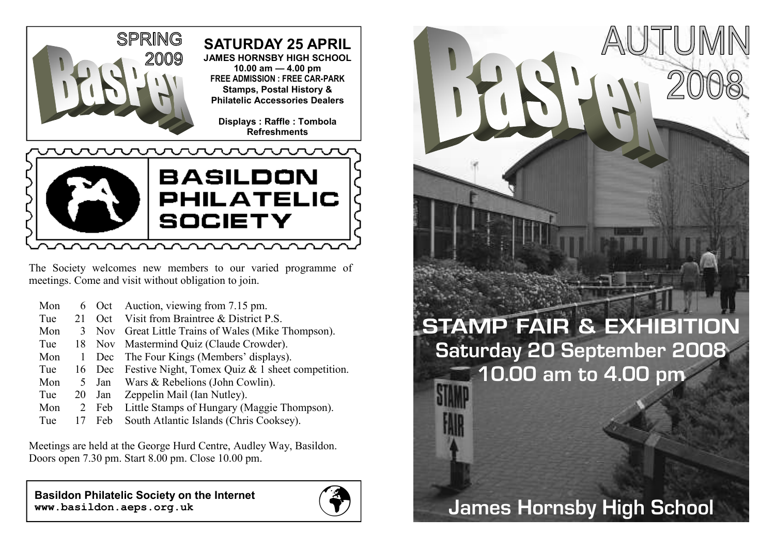

The Society welcomes new members to our varied programme of meetings. Come and visit without obligation to join.

|               |     | 6 Oct Auction, viewing from 7.15 pm.              |
|---------------|-----|---------------------------------------------------|
| 21            | Oct | Visit from Braintree & District P.S.              |
| 3             |     | Nov Great Little Trains of Wales (Mike Thompson). |
|               |     | 18 Nov Mastermind Quiz (Claude Crowder).          |
|               | Dec | The Four Kings (Members' displays).               |
|               |     | Festive Night, Tomex Quiz & 1 sheet competition.  |
| $\rightarrow$ |     | Jan Wars & Rebelions (John Cowlin).               |
| 20            | Jan | Zeppelin Mail (Ian Nutley).                       |
| 2             | Feb | Little Stamps of Hungary (Maggie Thompson).       |
|               | Feb | South Atlantic Islands (Chris Cooksey).           |
|               |     | 16 Dec                                            |

Meetings are held at the George Hurd Centre, Audley Way, Basildon. Doors open 7.30 pm. Start 8.00 pm. Close 10.00 pm.